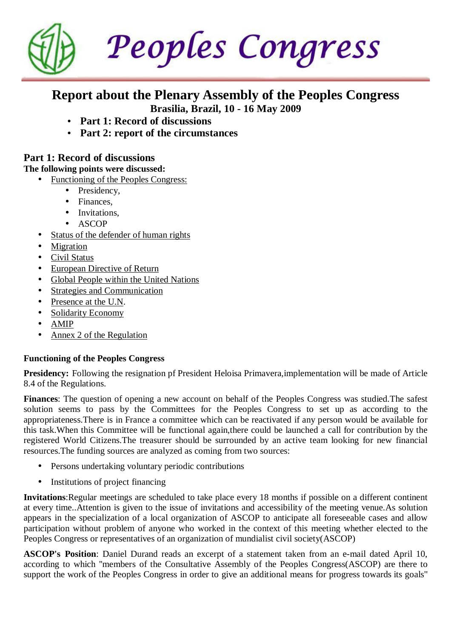Peoples Congress

# **Report about the Plenary Assembly of the Peoples Congress Brasilia, Brazil, 10 - 16 May 2009**

- **Part 1: Record of discussions**
- **Part 2: report of the circumstances**

# **Part 1: Record of discussions**

**The following points were discussed:**

- Functioning of the Peoples Congress:
	- Presidency,
	- Finances.
	- Invitations,
	- ASCOP
- Status of the defender of human rights
- **Migration**
- Civil Status
- European Directive of Return
- Global People within the United Nations
- **Strategies and Communication**
- Presence at the U.N.
- Solidarity Economy
- AMIP
- Annex 2 of the Regulation

#### **Functioning of the Peoples Congress**

**Presidency:** Following the resignation pf President Heloisa Primavera,implementation will be made of Article 8.4 of the Regulations.

**Finances**: The question of opening a new account on behalf of the Peoples Congress was studied.The safest solution seems to pass by the Committees for the Peoples Congress to set up as according to the appropriateness.There is in France a committee which can be reactivated if any person would be available for this task.When this Committee will be functional again,there could be launched a call for contribution by the registered World Citizens.The treasurer should be surrounded by an active team looking for new financial resources.The funding sources are analyzed as coming from two sources:

- Persons undertaking voluntary periodic contributions
- Institutions of project financing

**Invitations**:Regular meetings are scheduled to take place every 18 months if possible on a different continent at every time..Attention is given to the issue of invitations and accessibility of the meeting venue.As solution appears in the specialization of a local organization of ASCOP to anticipate all foreseeable cases and allow participation without problem of anyone who worked in the context of this meeting whether elected to the Peoples Congress or representatives of an organization of mundialist civil society(ASCOP)

**ASCOP's Position**: Daniel Durand reads an excerpt of a statement taken from an e-mail dated April 10, according to which ''members of the Consultative Assembly of the Peoples Congress(ASCOP) are there to support the work of the Peoples Congress in order to give an additional means for progress towards its goals''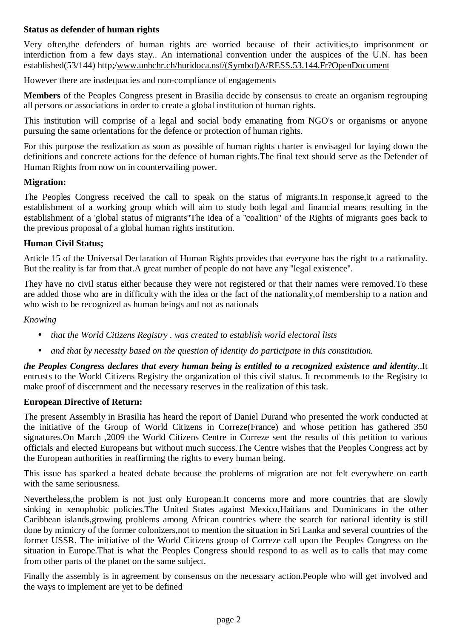#### **Status as defender of human rights**

Very often,the defenders of human rights are worried because of their activities,to imprisonment or interdiction from a few days stay.. An international convention under the auspices of the U.N. has been established(53/144) http;[/www.unhchr.ch/huridoca.nsf/\(Symbol\)A/RESS.53.144.Fr?OpenDocument](http://www.unhchr.ch/huridoca.nsf/(Symbol)A/RESS.53.144.Fr?OpenDocument) 

However there are inadequacies and non-compliance of engagements

**Members** of the Peoples Congress present in Brasilia decide by consensus to create an organism regrouping all persons or associations in order to create a global institution of human rights.

This institution will comprise of a legal and social body emanating from NGO's or organisms or anyone pursuing the same orientations for the defence or protection of human rights.

For this purpose the realization as soon as possible of human rights charter is envisaged for laying down the definitions and concrete actions for the defence of human rights.The final text should serve as the Defender of Human Rights from now on in countervailing power.

#### **Migration:**

The Peoples Congress received the call to speak on the status of migrants.In response,it agreed to the establishment of a working group which will aim to study both legal and financial means resulting in the establishment of a 'global status of migrants''The idea of a ''coalition'' of the Rights of migrants goes back to the previous proposal of a global human rights institution.

#### **Human Civil Status;**

Article 15 of the Universal Declaration of Human Rights provides that everyone has the right to a nationality. But the reality is far from that.A great number of people do not have any ''legal existence''.

They have no civil status either because they were not registered or that their names were removed.To these are added those who are in difficulty with the idea or the fact of the nationality,of membership to a nation and who wish to be recognized as human beings and not as nationals

#### *Knowing*

- *that the World Citizens Registry . was created to establish world electoral lists*
- *and that by necessity based on the question of identity do participate in this constitution.*

the Peoples Congress declares that every human being is entitled to a recognized existence and identity..It entrusts to the World Citizens Registry the organization of this civil status. It recommends to the Registry to make proof of discernment and the necessary reserves in the realization of this task.

#### **European Directive of Return:**

The present Assembly in Brasilia has heard the report of Daniel Durand who presented the work conducted at the initiative of the Group of World Citizens in Correze(France) and whose petition has gathered 350 signatures.On March ,2009 the World Citizens Centre in Correze sent the results of this petition to various officials and elected Europeans but without much success.The Centre wishes that the Peoples Congress act by the European authorities in reaffirming the rights to every human being.

This issue has sparked a heated debate because the problems of migration are not felt everywhere on earth with the same seriousness.

Nevertheless,the problem is not just only European.It concerns more and more countries that are slowly sinking in xenophobic policies.The United States against Mexico,Haitians and Dominicans in the other Caribbean islands,growing problems among African countries where the search for national identity is still done by mimicry of the former colonizers,not to mention the situation in Sri Lanka and several countries of the former USSR. The initiative of the World Citizens group of Correze call upon the Peoples Congress on the situation in Europe.That is what the Peoples Congress should respond to as well as to calls that may come from other parts of the planet on the same subject.

Finally the assembly is in agreement by consensus on the necessary action.People who will get involved and the ways to implement are yet to be defined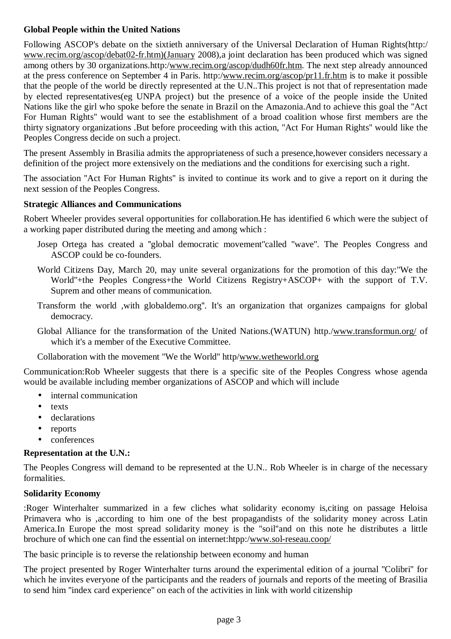# **Global People within the United Nations**

Following ASCOP's debate on the sixtieth anniversary of the Universal Declaration of Human Rights(http:/ [www.recim.org/ascop/debat02-fr.htm\)\(January](http://www.recim.org/ascop/debat02-fr.htm)(January) 2008),a joint declaration has been produced which was signed among others by 30 organizations.http:/[www.recim.org/ascop/dudh60fr.htm](http://www.recim.org/ascop/dudh60fr.htm). The next step already announced at the press conference on September 4 in Paris. http:/[www.recim.org/ascop/pr11.fr.htm](http://www.recim.org/ascop/pr11.fr.htm) is to make it possible that the people of the world be directly represented at the U.N..This project is not that of representation made by elected representatives(eg UNPA project) but the presence of a voice of the people inside the United Nations like the girl who spoke before the senate in Brazil on the Amazonia.And to achieve this goal the ''Act For Human Rights'' would want to see the establishment of a broad coalition whose first members are the thirty signatory organizations .But before proceeding with this action, ''Act For Human Rights'' would like the Peoples Congress decide on such a project.

The present Assembly in Brasilia admits the appropriateness of such a presence,however considers necessary a definition of the project more extensively on the mediations and the conditions for exercising such a right.

The association ''Act For Human Rights'' is invited to continue its work and to give a report on it during the next session of the Peoples Congress.

#### **Strategic Alliances and Communications**

Robert Wheeler provides several opportunities for collaboration.He has identified 6 which were the subject of a working paper distributed during the meeting and among which :

- Josep Ortega has created a ''global democratic movement''called ''wave''. The Peoples Congress and ASCOP could be co-founders.
- World Citizens Day, March 20, may unite several organizations for the promotion of this day:''We the World''+the Peoples Congress+the World Citizens Registry+ASCOP+ with the support of T.V. Suprem and other means of communication.
- Transform the world ,with globaldemo.org''. It's an organization that organizes campaigns for global democracy.
- Global Alliance for the transformation of the United Nations.(WATUN) http./[www.transformun.org/](http://www.transformun.org/) of which it's a member of the Executive Committee.

Collaboration with the movement ''We the World'' http/[www.wetheworld.org](http://www.wetheworld.org)

Communication:Rob Wheeler suggests that there is a specific site of the Peoples Congress whose agenda would be available including member organizations of ASCOP and which will include

- internal communication
- texts
- declarations
- reports
- conferences

#### **Representation at the U.N.:**

The Peoples Congress will demand to be represented at the U.N.. Rob Wheeler is in charge of the necessary formalities.

#### **Solidarity Economy**

:Roger Winterhalter summarized in a few cliches what solidarity economy is,citing on passage Heloisa Primavera who is ,according to him one of the best propagandists of the solidarity money across Latin America.In Europe the most spread solidarity money is the ''soil''and on this note he distributes a little brochure of which one can find the essential on internet:htpp:/[www.sol-reseau.coop/](http://www.sol-reseau.coop/)

The basic principle is to reverse the relationship between economy and human

The project presented by Roger Winterhalter turns around the experimental edition of a journal ''Colibri'' for which he invites everyone of the participants and the readers of journals and reports of the meeting of Brasilia to send him ''index card experience'' on each of the activities in link with world citizenship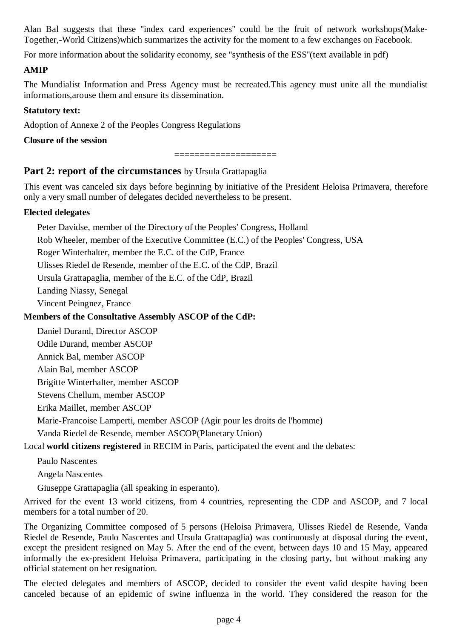Alan Bal suggests that these ''index card experiences'' could be the fruit of network workshops(Make-Together,-World Citizens)which summarizes the activity for the moment to a few exchanges on Facebook.

For more information about the solidarity economy, see ''synthesis of the ESS''(text available in pdf)

#### **AMIP**

The Mundialist Information and Press Agency must be recreated.This agency must unite all the mundialist informations,arouse them and ensure its dissemination.

#### **Statutory text:**

Adoption of Annexe 2 of the Peoples Congress Regulations

**Closure of the session**

====================

### **Part 2: report of the circumstances** by Ursula Grattapaglia

This event was canceled six days before beginning by initiative of the President Heloisa Primavera, therefore only a very small number of delegates decided nevertheless to be present.

#### **Elected delegates**

Peter Davidse, member of the Directory of the Peoples' Congress, Holland Rob Wheeler, member of the Executive Committee (E.C.) of the Peoples' Congress, USA Roger Winterhalter, member the E.C. of the CdP, France

Ulisses Riedel de Resende, member of the E.C. of the CdP, Brazil

Ursula Grattapaglia, member of the E.C. of the CdP, Brazil

Landing Niassy, Senegal

Vincent Peingnez, France

# **Members of the Consultative Assembly ASCOP of the CdP:**

Daniel Durand, Director ASCOP

Odile Durand, member ASCOP

Annick Bal, member ASCOP

Alain Bal, member ASCOP

Brigitte Winterhalter, member ASCOP

Stevens Chellum, member ASCOP

Erika Maillet, member ASCOP

Marie-Francoise Lamperti, member ASCOP (Agir pour les droits de l'homme)

Vanda Riedel de Resende, member ASCOP(Planetary Union)

Local **world citizens registered** in RECIM in Paris, participated the event and the debates:

Paulo Nascentes

Angela Nascentes

Giuseppe Grattapaglia (all speaking in esperanto).

Arrived for the event 13 world citizens, from 4 countries, representing the CDP and ASCOP, and 7 local members for a total number of 20.

The Organizing Committee composed of 5 persons (Heloisa Primavera, Ulisses Riedel de Resende, Vanda Riedel de Resende, Paulo Nascentes and Ursula Grattapaglia) was continuously at disposal during the event, except the president resigned on May 5. After the end of the event, between days 10 and 15 May, appeared informally the ex-president Heloisa Primavera, participating in the closing party, but without making any official statement on her resignation.

The elected delegates and members of ASCOP, decided to consider the event valid despite having been canceled because of an epidemic of swine influenza in the world. They considered the reason for the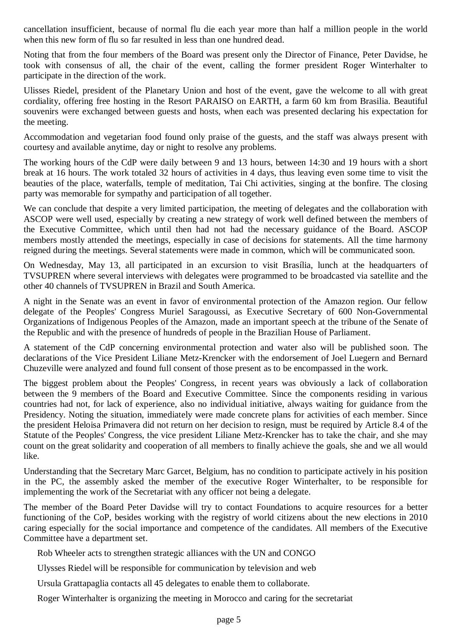cancellation insufficient, because of normal flu die each year more than half a million people in the world when this new form of flu so far resulted in less than one hundred dead.

Noting that from the four members of the Board was present only the Director of Finance, Peter Davidse, he took with consensus of all, the chair of the event, calling the former president Roger Winterhalter to participate in the direction of the work.

Ulisses Riedel, president of the Planetary Union and host of the event, gave the welcome to all with great cordiality, offering free hosting in the Resort PARAISO on EARTH, a farm 60 km from Brasilia. Beautiful souvenirs were exchanged between guests and hosts, when each was presented declaring his expectation for the meeting.

Accommodation and vegetarian food found only praise of the guests, and the staff was always present with courtesy and available anytime, day or night to resolve any problems.

The working hours of the CdP were daily between 9 and 13 hours, between 14:30 and 19 hours with a short break at 16 hours. The work totaled 32 hours of activities in 4 days, thus leaving even some time to visit the beauties of the place, waterfalls, temple of meditation, Tai Chi activities, singing at the bonfire. The closing party was memorable for sympathy and participation of all together.

We can conclude that despite a very limited participation, the meeting of delegates and the collaboration with ASCOP were well used, especially by creating a new strategy of work well defined between the members of the Executive Committee, which until then had not had the necessary guidance of the Board. ASCOP members mostly attended the meetings, especially in case of decisions for statements. All the time harmony reigned during the meetings. Several statements were made in common, which will be communicated soon.

On Wednesday, May 13, all participated in an excursion to visit Brasília, lunch at the headquarters of TVSUPREN where several interviews with delegates were programmed to be broadcasted via satellite and the other 40 channels of TVSUPREN in Brazil and South America.

A night in the Senate was an event in favor of environmental protection of the Amazon region. Our fellow delegate of the Peoples' Congress Muriel Saragoussi, as Executive Secretary of 600 Non-Governmental Organizations of Indigenous Peoples of the Amazon, made an important speech at the tribune of the Senate of the Republic and with the presence of hundreds of people in the Brazilian House of Parliament.

A statement of the CdP concerning environmental protection and water also will be published soon. The declarations of the Vice President Liliane Metz-Krencker with the endorsement of Joel Luegern and Bernard Chuzeville were analyzed and found full consent of those present as to be encompassed in the work.

The biggest problem about the Peoples' Congress, in recent years was obviously a lack of collaboration between the 9 members of the Board and Executive Committee. Since the components residing in various countries had not, for lack of experience, also no individual initiative, always waiting for guidance from the Presidency. Noting the situation, immediately were made concrete plans for activities of each member. Since the president Heloisa Primavera did not return on her decision to resign, must be required by Article 8.4 of the Statute of the Peoples' Congress, the vice president Liliane Metz-Krencker has to take the chair, and she may count on the great solidarity and cooperation of all members to finally achieve the goals, she and we all would like.

Understanding that the Secretary Marc Garcet, Belgium, has no condition to participate actively in his position in the PC, the assembly asked the member of the executive Roger Winterhalter, to be responsible for implementing the work of the Secretariat with any officer not being a delegate.

The member of the Board Peter Davidse will try to contact Foundations to acquire resources for a better functioning of the CoP, besides working with the registry of world citizens about the new elections in 2010 caring especially for the social importance and competence of the candidates. All members of the Executive Committee have a department set.

Rob Wheeler acts to strengthen strategic alliances with the UN and CONGO

Ulysses Riedel will be responsible for communication by television and web

Ursula Grattapaglia contacts all 45 delegates to enable them to collaborate.

Roger Winterhalter is organizing the meeting in Morocco and caring for the secretariat